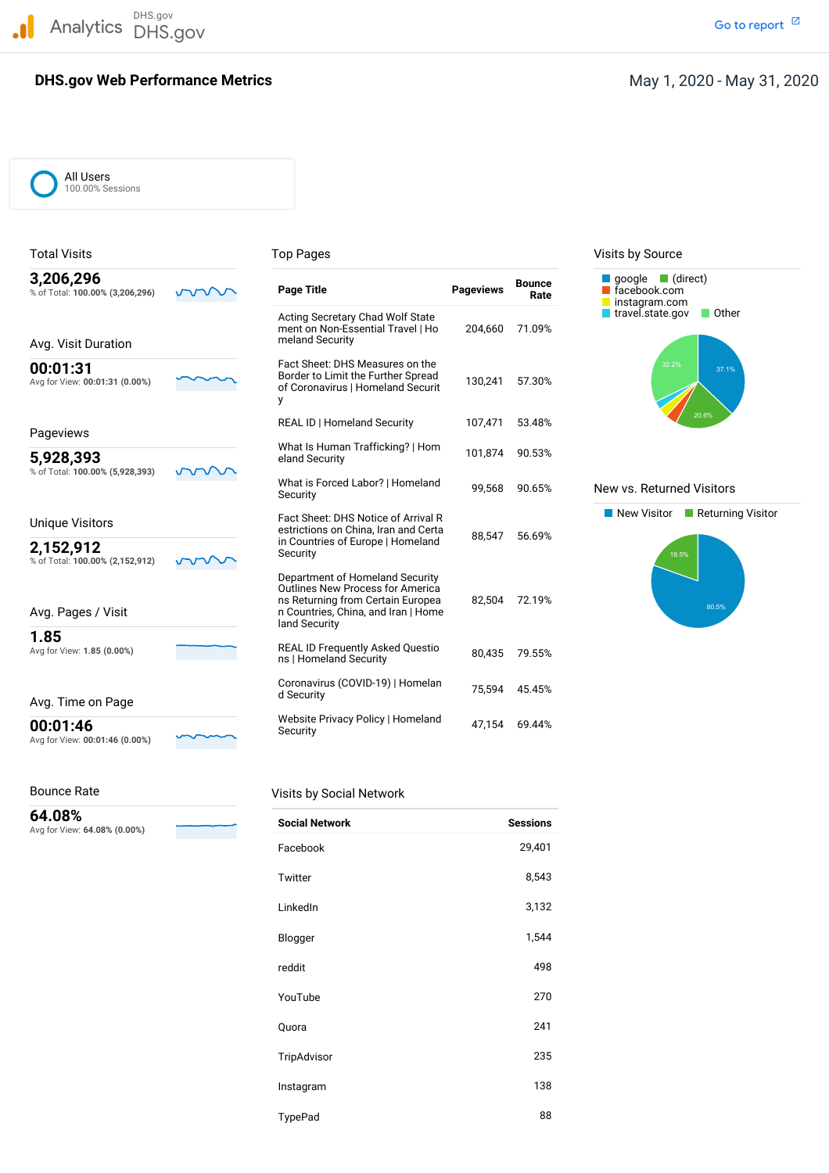DHS.gov Analytics DHS.gov and the contract of the contract of the contract of the contract of the contract of the contract of the contract of the contract of the contract of the contract of the contract of the contract of the cont

## **DHS.gov Web Performance Metrics**

#### May 1, 2020 - May 31, 2020

All Users 100.00% Sessions

## % of Total: **100.00% (3,206,296) Page Title Pageviews Rate** Avg for View: 00:01:31 (0.00%) % of Total: **100.00% (5,928,393)** % of Total: 100.00% (2,152,912) Avg for View: 1.85 (0.00%) Acting Secretary Chad Wolf State the Secretary Chad Wolf State State Secretary Channel State Secretary Channel ment on Non-Essential Travel | Ho 204,660 71.09% Fact Sheet: DHS Measures on the Border to Limit the Further Spread **OO:01:31** Fact Sheet: DHS Measures on the<br>Avg for View: 00:01:31 (0.00%) 130,241 **Border to Limit the Further Spread**<br>of Coronavirus | Homeland Securit REAL ID | Homeland Security 107,471 53.48% What Is Human Trafficking? | Hom 101,874 90.53% **5,928,393** eland Security What is Forced Labor? | Homeland<br>Security ns Returning from Certain Europea 82,504 72.19% Avg. Pages / Visit n Countries, China, and Iran | Home Avg for View: 1.85 (0.00%)<br> **REAL ID Frequently Asked Questio** 80,435 79.55%<br>
ns | Homeland Security ns | Homeland Security Coronavirus (COVID-19) <sup>|</sup> Homelan 75,594 45.45% <sup>d</sup> Security Avg. Time on Page **00:01:46** Website Privacy Policy | Homeland 47,154 69.44% Total Visits **The Contract of Top Pages** Top Pages The Contract of Contract Points by Source **3,206,296 Bounce** [facebook.com](https://facebook.com) Avg. Visit Duration **Avg.** Visit Duration y Pageviews Unique Visitors<br>
Exercision on China, Iran and Certa<br>
2,152,912 in Countries of Europe | Homeland<br>
Security Security<br>
Security Department of Homeland Security Outlines New Process for America land Security **1.85**



#### 99,568 90.65% New vs. Returned Visitors



Avg for View: **00:01:46 (0.00%)**

## Bounce Rate **Visits by Social Network**

| 64.08%<br>Avg for View: 64.08% (0.00%) | <b>Social Network</b> | <b>Sessions</b> |
|----------------------------------------|-----------------------|-----------------|
|                                        | Facebook              | 29,401          |
|                                        | Twitter               | 8,543           |
|                                        | LinkedIn              | 3,132           |
|                                        | Blogger               | 1,544           |
|                                        | reddit                | 498             |
|                                        | YouTube               | 270             |
|                                        | Quora                 | 241             |
|                                        | TripAdvisor           | 235             |
|                                        | Instagram             | 138             |
|                                        | TypePad               | 88              |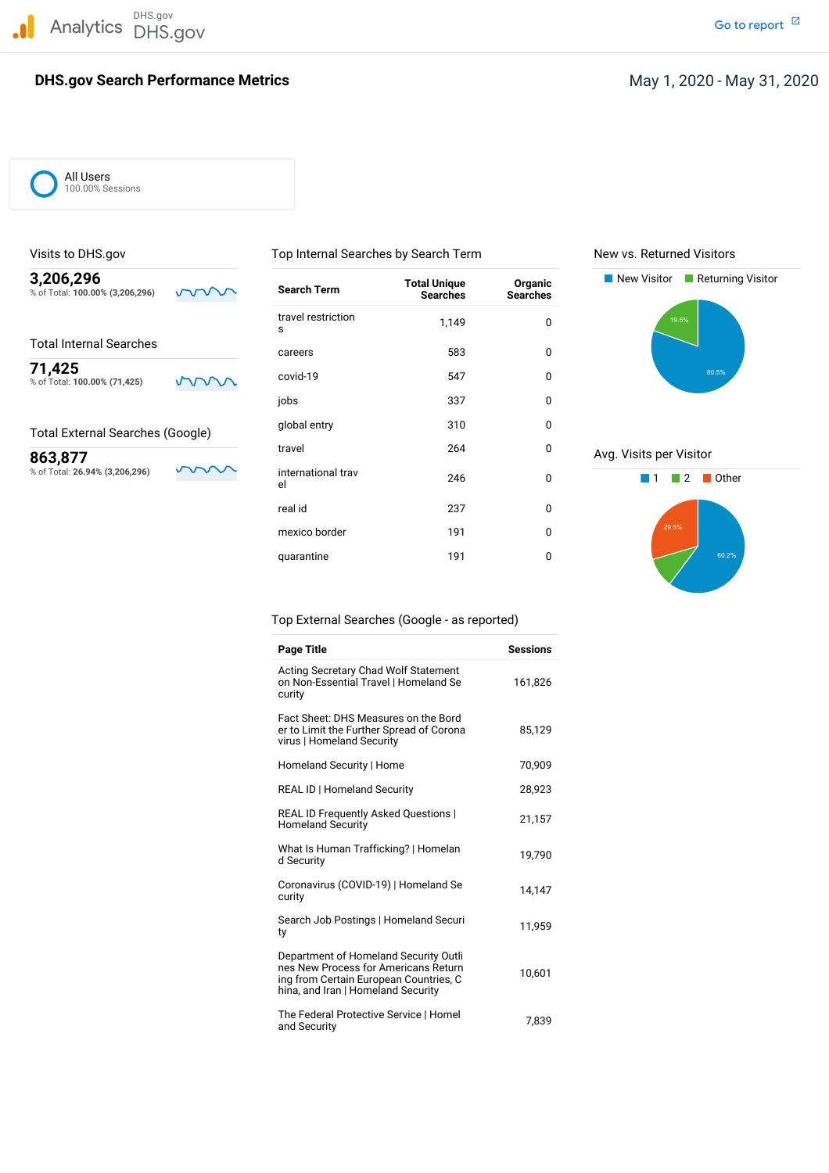DHS.gov Analytics DHS.gov and the contract of the contract of the contract of the contract of the contract of the contract of the contract of the contract of the contract of the contract of the contract of the contract of the cont

## **DHS.gov Search Performance Metrics**

Go to report<sup>[2]</sup>

## May 1, 2020 - May 31, 2020

All Users 100.00% Sessions

% of Total: 100.00% (3,206,296)

% of Total: 26.94% (3,206,296)

Visits to DHS.gov Top Internal Searches by Search Term New vs. Returned Visitors

travel restriction 1,149 0

jobs 337 0

real id and 237 0 mexico border 191 0 quarantine 191 0

**71,425 covid-19 547 b** 547 **covid-19** 

global entry <sup>310</sup> <sup>0</sup> Total External Searches (Google)

Total Internal Searches and Contract Contract Contract Contract Contract Contract Contract Contract Contract Contract Contract Contract Contract Contract Contract Contract Contract Contract Contract Contract Contract Contr



# travel travel 264 0 Avg. Visits per Visitor<br>  $\frac{863,877}{80^6 \text{ Total: } 26.94\%}$  (3,206,296)



#### Top External Searches (Google - as reported)

| <b>Page Title</b>                                                                                                                                             | <b>Sessions</b> |
|---------------------------------------------------------------------------------------------------------------------------------------------------------------|-----------------|
| <b>Acting Secretary Chad Wolf Statement</b><br>on Non-Essential Travel   Homeland Se<br>curity                                                                | 161,826         |
| Fact Sheet: DHS Measures on the Bord<br>er to Limit the Further Spread of Corona<br>virus   Homeland Security                                                 | 85,129          |
| Homeland Security   Home                                                                                                                                      | 70,909          |
| <b>REAL ID   Homeland Security</b>                                                                                                                            | 28,923          |
| <b>REAL ID Frequently Asked Questions  </b><br><b>Homeland Security</b>                                                                                       | 21,157          |
| What Is Human Trafficking?   Homelan<br>d Security                                                                                                            | 19.790          |
| Coronavirus (COVID-19)   Homeland Se<br>curity                                                                                                                | 14,147          |
| Search Job Postings   Homeland Securi<br>ty                                                                                                                   | 11,959          |
| Department of Homeland Security Outli<br>nes New Process for Americans Return<br>ing from Certain European Countries, C<br>hina, and Iran   Homeland Security | 10,601          |
| The Federal Protective Service   Homel<br>and Security                                                                                                        | 7,839           |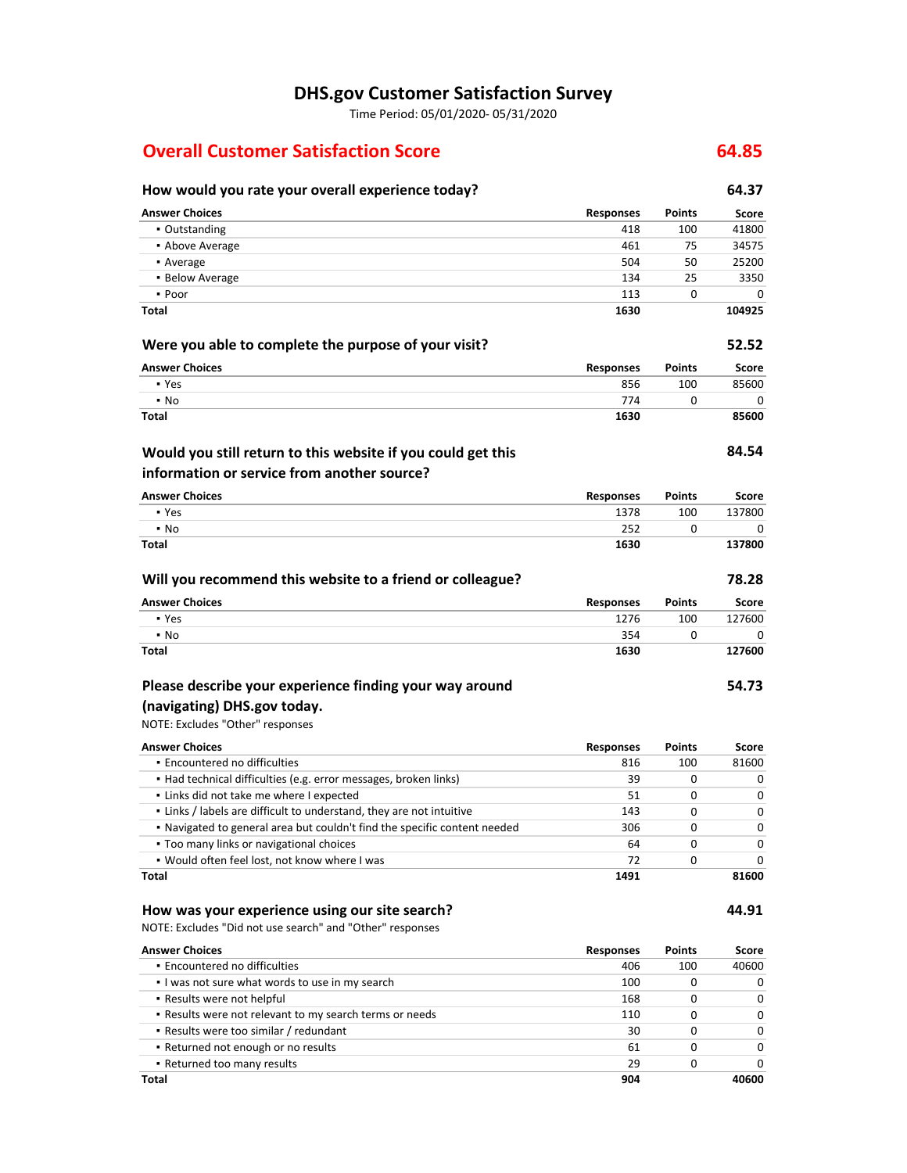# **DHS.gov Customer Satisfaction Survey**

Time Period: 05/01/2020‐ 05/31/2020

## **Overall Customer Satisfaction Score 64.85**

# **How would you rate your overall experience today? 64.37**

| <b>Answer Choices</b>                                                                                       | <b>Responses</b> | <b>Points</b> | Score        |
|-------------------------------------------------------------------------------------------------------------|------------------|---------------|--------------|
| • Outstanding                                                                                               | 418              | 100           | 41800        |
| • Above Average                                                                                             | 461              | 75            | 34575        |
| • Average                                                                                                   | 504              | 50            | 25200        |
| • Below Average                                                                                             | 134              | 25            | 3350         |
| • Poor                                                                                                      | 113              | 0             | 0            |
| Total                                                                                                       | 1630             |               | 104925       |
| Were you able to complete the purpose of your visit?                                                        |                  |               | 52.52        |
| <b>Answer Choices</b>                                                                                       | <b>Responses</b> | <b>Points</b> | Score        |
| • Yes                                                                                                       | 856              | 100           | 85600        |
| $\cdot$ No                                                                                                  | 774              | 0             | 0            |
| Total                                                                                                       | 1630             |               | 85600        |
| Would you still return to this website if you could get this<br>information or service from another source? |                  |               | 84.54        |
| <b>Answer Choices</b>                                                                                       | <b>Responses</b> | <b>Points</b> | Score        |
| • Yes                                                                                                       | 1378             | 100           | 137800       |
| • No                                                                                                        | 252              | 0             | 0            |
| Total                                                                                                       | 1630             |               | 137800       |
| Will you recommend this website to a friend or colleague?                                                   |                  |               | 78.28        |
| <b>Answer Choices</b>                                                                                       | <b>Responses</b> | <b>Points</b> | <b>Score</b> |
| • Yes                                                                                                       | 1276             | 100           | 127600       |
| • No                                                                                                        | 354              | 0             | 0            |
| Total                                                                                                       | 1630             |               | 127600       |
| Please describe your experience finding your way around                                                     |                  |               | 54.73        |
| (navigating) DHS.gov today.                                                                                 |                  |               |              |
| NOTE: Excludes "Other" responses                                                                            |                  |               |              |
| <b>Answer Choices</b>                                                                                       |                  | Points        | Score        |
| • Encountered no difficulties                                                                               | Responses<br>816 | 100           | 81600        |
| • Had technical difficulties (e.g. error messages, broken links)                                            | 39               | 0             | 0            |
| . Links did not take me where I expected                                                                    | 51               | 0             | 0            |
| . Links / labels are difficult to understand, they are not intuitive                                        | 143              | 0             | 0            |
| . Navigated to general area but couldn't find the specific content needed                                   | 306              | 0             | 0            |
| . Too many links or navigational choices                                                                    | 64               | 0             | 0            |
| . Would often feel lost, not know where I was                                                               | 72               | 0             | 0            |
| Total                                                                                                       | 1491             |               | 81600        |
| How was your experience using our site search?<br>NOTE: Excludes "Did not use search" and "Other" responses |                  |               | 44.91        |
| <b>Answer Choices</b>                                                                                       | <b>Responses</b> | <b>Points</b> | Score        |
| · Encountered no difficulties                                                                               | 406              | 100           | 40600        |
| . I was not sure what words to use in my search                                                             | 100              | 0             | 0            |
| . Results were not helpful                                                                                  | 168              | 0             | 0            |
| . Results were not relevant to my search terms or needs                                                     | 110              | 0             | 0            |
| - Results were too similar / redundant                                                                      | 30               | 0             | 0            |

61 29 **904** 0 0

0 0 **40600**

▪ Returned not enough or no results ▪ Returned too many results